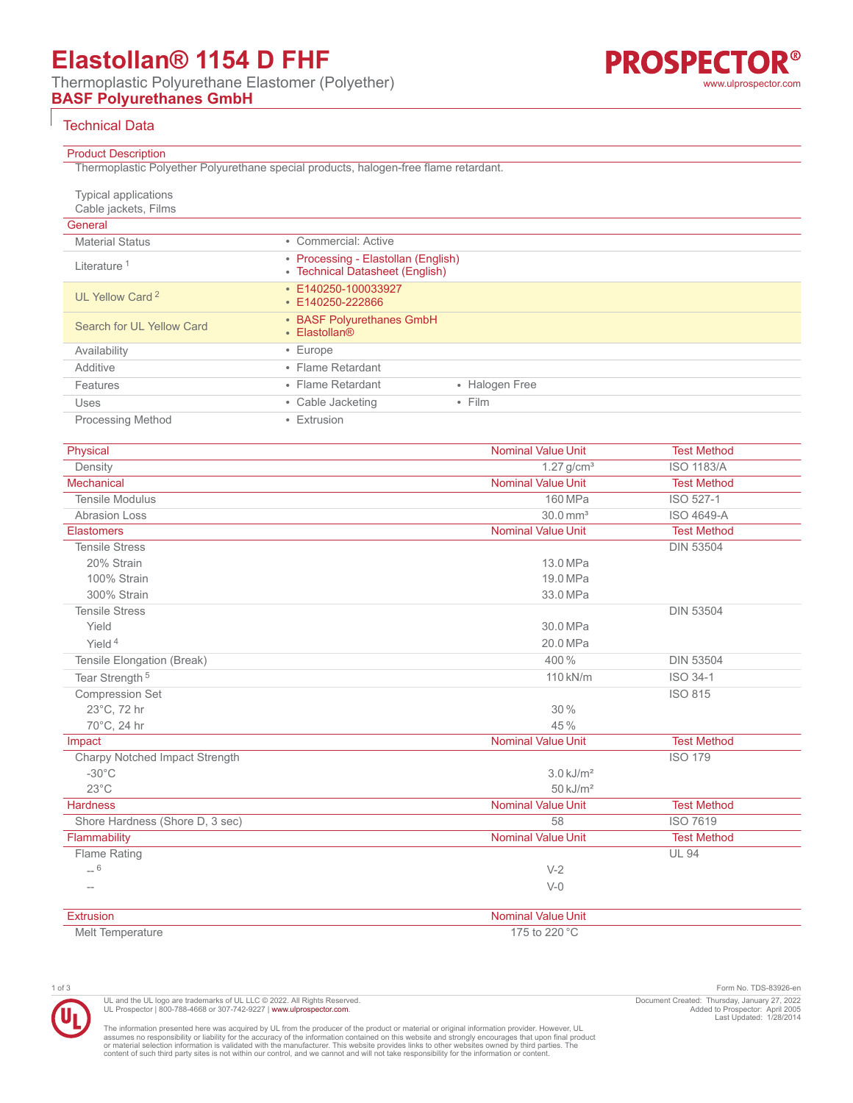# **Elastollan® 1154 D FHF**

Thermoplastic Polyurethane Elastomer (Polyether) **BASF Polyurethanes GmbH**

## Technical Data

| <b>Product Description</b> |  |  |  |
|----------------------------|--|--|--|
|                            |  |  |  |

| Thermoplastic Polyether Polyurethane special products, halogen-free flame retardant. |  |
|--------------------------------------------------------------------------------------|--|

| <b>Typical applications</b><br>Cable jackets, Films |                                                                        |                |
|-----------------------------------------------------|------------------------------------------------------------------------|----------------|
| General                                             |                                                                        |                |
| <b>Material Status</b>                              | • Commercial: Active                                                   |                |
| Literature <sup>1</sup>                             | • Processing - Elastollan (English)<br>• Technical Datasheet (English) |                |
| UL Yellow Card <sup>2</sup>                         | $\cdot$ E140250-100033927<br>• E140250-222866                          |                |
| Search for UL Yellow Card                           | • BASF Polyurethanes GmbH<br>• Elastollan®                             |                |
| Availability                                        | $\cdot$ Europe                                                         |                |
| Additive                                            | • Flame Retardant                                                      |                |
| Features                                            | • Flame Retardant                                                      | • Halogen Free |
| Uses                                                | • Cable Jacketing                                                      | $\cdot$ Film   |
| <b>Processing Method</b>                            | • Extrusion                                                            |                |

| Physical                        | <b>Nominal Value Unit</b> | <b>Test Method</b> |
|---------------------------------|---------------------------|--------------------|
| Density                         | $1.27$ g/cm <sup>3</sup>  | <b>ISO 1183/A</b>  |
| <b>Mechanical</b>               | <b>Nominal Value Unit</b> | <b>Test Method</b> |
| <b>Tensile Modulus</b>          | 160 MPa                   | ISO 527-1          |
| Abrasion Loss                   | $30.0$ mm <sup>3</sup>    | ISO 4649-A         |
| <b>Elastomers</b>               | <b>Nominal Value Unit</b> | <b>Test Method</b> |
| <b>Tensile Stress</b>           |                           | <b>DIN 53504</b>   |
| 20% Strain                      | 13.0 MPa                  |                    |
| 100% Strain                     | 19.0 MPa                  |                    |
| 300% Strain                     | 33.0 MPa                  |                    |
| <b>Tensile Stress</b>           |                           | <b>DIN 53504</b>   |
| Yield                           | 30.0 MPa                  |                    |
| Yield $4$                       | 20.0 MPa                  |                    |
| Tensile Elongation (Break)      | 400 %                     | <b>DIN 53504</b>   |
| Tear Strength <sup>5</sup>      | 110 kN/m                  | ISO 34-1           |
| <b>Compression Set</b>          |                           | <b>ISO 815</b>     |
| 23°C, 72 hr                     | 30%                       |                    |
| 70°C, 24 hr                     | 45%                       |                    |
| Impact                          | <b>Nominal Value Unit</b> | <b>Test Method</b> |
| Charpy Notched Impact Strength  |                           | <b>ISO 179</b>     |
| $-30^{\circ}$ C                 | $3.0$ kJ/m <sup>2</sup>   |                    |
| $23^{\circ}$ C                  | $50$ kJ/m <sup>2</sup>    |                    |
| <b>Hardness</b>                 | <b>Nominal Value Unit</b> | <b>Test Method</b> |
| Shore Hardness (Shore D, 3 sec) | 58                        | <b>ISO 7619</b>    |
| Flammability                    | <b>Nominal Value Unit</b> | <b>Test Method</b> |
| <b>Flame Rating</b>             |                           | <b>UL 94</b>       |
| $-6$                            | $V-2$                     |                    |
|                                 | $V-0$                     |                    |
| Extrusion                       | Nominal Value Unit        |                    |
| Melt Temperature                | 175 to 220 °C             |                    |

1 of 3 Form No. TDS-83926-en Document Created: Thursday, January 27, 2022 Added to Prospector: April 2005 Last Updated: 1/28/2014

The information presented here was acquired by UL from the producer of the product or material or original information provider. However, UL<br>assumes no responsibility or liability for the accuracy of the information contai

UL and the UL logo are trademarks of UL LLC © 2022. All Rights Reserved.<br>UL Prospector | 800-788-4668 or 307-742-9227 | [www.ulprospector.com](http://www.ulprospector.com).

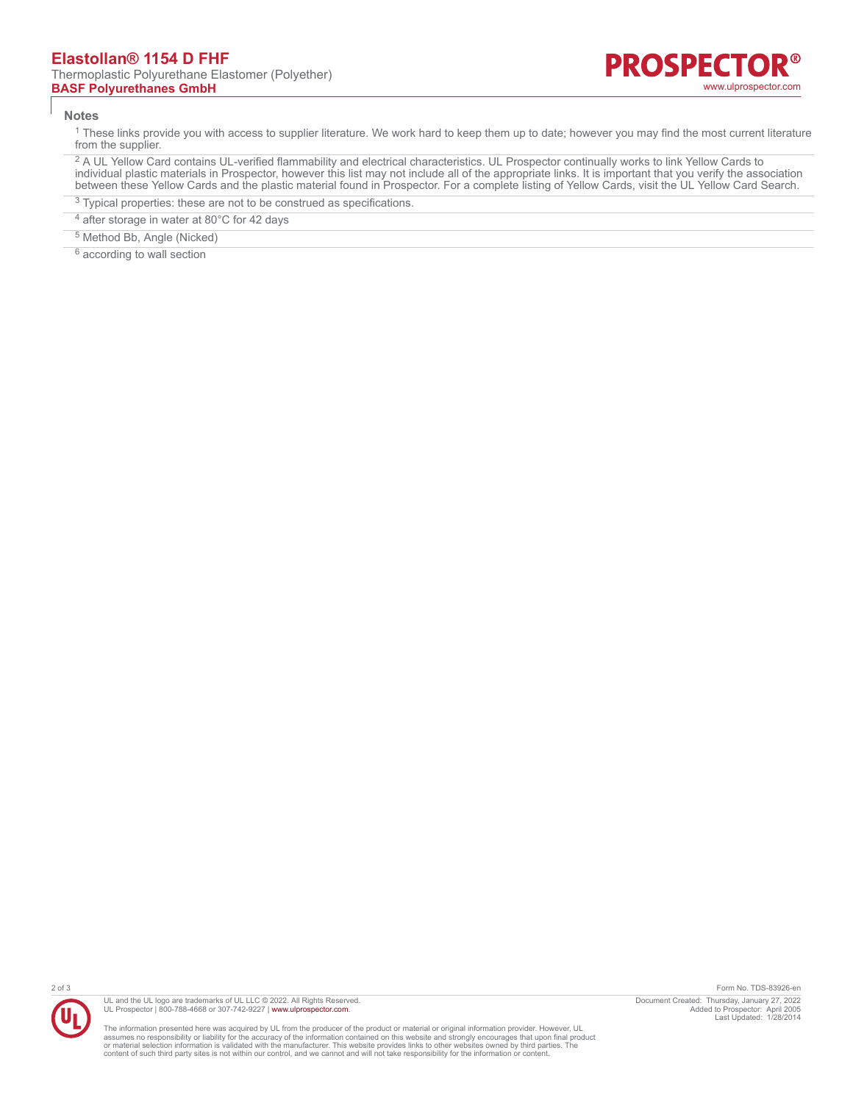#### **Notes**

 $^1$  These links provide you with access to supplier literature. We work hard to keep them up to date; however you may find the most current literature from the supplier.

<sup>2</sup> A UL Yellow Card contains UL-verified flammability and electrical characteristics. UL Prospector continually works to link Yellow Cards to individual plastic materials in Prospector, however this list may not include all of the appropriate links. It is important that you verify the association between these Yellow Cards and the plastic material found in Prospector. For a complete listing of Yellow Cards, visit the UL Yellow Card Search.

- <sup>3</sup> Typical properties: these are not to be construed as specifications.
- <sup>4</sup> after storage in water at 80°C for 42 days
- 5 Method Bb, Angle (Nicked)

<sup>6</sup> according to wall section



UL and the UL logo are trademarks of UL LLC © 2022. All Rights Reserved. UL Prospector | 800-788-4668 or 307-742-9227 | [www.ulprospector.com](http://www.ulprospector.com).

The information presented here was acquired by UL from the producer of the product or material or original information provider. However, UL<br>assumes no responsibility or liability for the accuracy of the information contai

2 of 3 Form No. TDS-83926-en Document Created: Thursday, January 27, 2022 Added to Prospector: April 2005 Last Updated: 1/28/2014